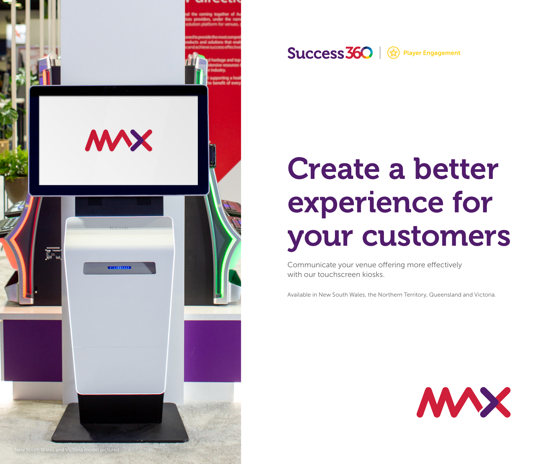

Success 360 | <sup>2</sup> Player Engagement

## Create a better experience for your customers

Communicate your venue offering more effectively with our touchscreen kiosks.

Available in New South Wales, the Northern Territory, Queensland and Victoria.